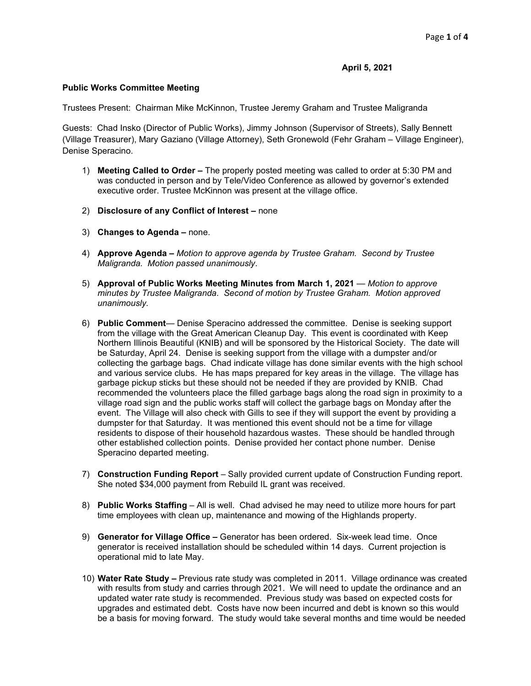**April 5, 2021**

## **Public Works Committee Meeting**

Trustees Present: Chairman Mike McKinnon, Trustee Jeremy Graham and Trustee Maligranda

Guests: Chad Insko (Director of Public Works), Jimmy Johnson (Supervisor of Streets), Sally Bennett (Village Treasurer), Mary Gaziano (Village Attorney), Seth Gronewold (Fehr Graham – Village Engineer), Denise Speracino.

- 1) **Meeting Called to Order –** The properly posted meeting was called to order at 5:30 PM and was conducted in person and by Tele/Video Conference as allowed by governor's extended executive order. Trustee McKinnon was present at the village office.
- 2) **Disclosure of any Conflict of Interest –** none
- 3) **Changes to Agenda –** none.
- 4) **Approve Agenda –** *Motion to approve agenda by Trustee Graham. Second by Trustee Maligranda. Motion passed unanimously*.
- 5) **Approval of Public Works Meeting Minutes from March 1, 2021** *Motion to approve minutes by Trustee Maligranda*. *Second of motion by Trustee Graham. Motion approved unanimously.*
- 6) **Public Comment** Denise Speracino addressed the committee. Denise is seeking support from the village with the Great American Cleanup Day. This event is coordinated with Keep Northern Illinois Beautiful (KNIB) and will be sponsored by the Historical Society. The date will be Saturday, April 24. Denise is seeking support from the village with a dumpster and/or collecting the garbage bags. Chad indicate village has done similar events with the high school and various service clubs. He has maps prepared for key areas in the village. The village has garbage pickup sticks but these should not be needed if they are provided by KNIB. Chad recommended the volunteers place the filled garbage bags along the road sign in proximity to a village road sign and the public works staff will collect the garbage bags on Monday after the event. The Village will also check with Gills to see if they will support the event by providing a dumpster for that Saturday. It was mentioned this event should not be a time for village residents to dispose of their household hazardous wastes. These should be handled through other established collection points. Denise provided her contact phone number. Denise Speracino departed meeting.
- 7) **Construction Funding Report** Sally provided current update of Construction Funding report. She noted \$34,000 payment from Rebuild IL grant was received.
- 8) **Public Works Staffing** All is well. Chad advised he may need to utilize more hours for part time employees with clean up, maintenance and mowing of the Highlands property.
- 9) **Generator for Village Office –** Generator has been ordered. Six-week lead time. Once generator is received installation should be scheduled within 14 days. Current projection is operational mid to late May.
- 10) **Water Rate Study –** Previous rate study was completed in 2011. Village ordinance was created with results from study and carries through 2021. We will need to update the ordinance and an updated water rate study is recommended. Previous study was based on expected costs for upgrades and estimated debt. Costs have now been incurred and debt is known so this would be a basis for moving forward. The study would take several months and time would be needed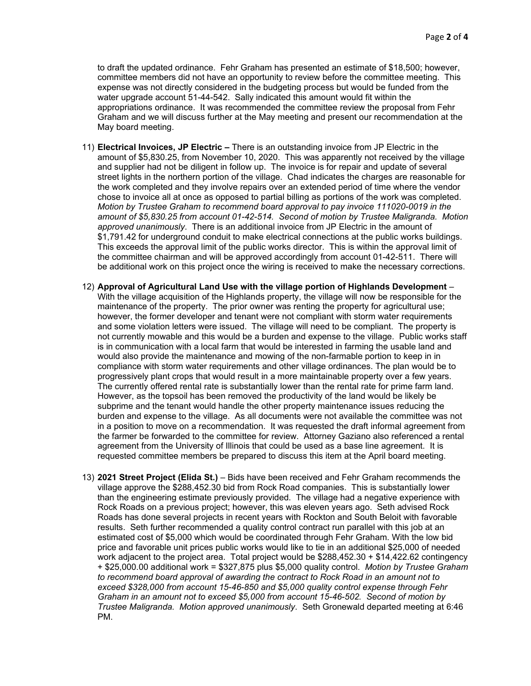to draft the updated ordinance. Fehr Graham has presented an estimate of \$18,500; however, committee members did not have an opportunity to review before the committee meeting. This expense was not directly considered in the budgeting process but would be funded from the water upgrade account 51-44-542. Sally indicated this amount would fit within the appropriations ordinance. It was recommended the committee review the proposal from Fehr Graham and we will discuss further at the May meeting and present our recommendation at the May board meeting.

- 11) **Electrical Invoices, JP Electric –** There is an outstanding invoice from JP Electric in the amount of \$5,830.25, from November 10, 2020. This was apparently not received by the village and supplier had not be diligent in follow up. The invoice is for repair and update of several street lights in the northern portion of the village. Chad indicates the charges are reasonable for the work completed and they involve repairs over an extended period of time where the vendor chose to invoice all at once as opposed to partial billing as portions of the work was completed. *Motion by Trustee Graham to recommend board approval to pay invoice 111020-0019 in the amount of \$5,830.25 from account 01-42-514. Second of motion by Trustee Maligranda. Motion approved unanimously*. There is an additional invoice from JP Electric in the amount of \$1,791.42 for underground conduit to make electrical connections at the public works buildings. This exceeds the approval limit of the public works director. This is within the approval limit of the committee chairman and will be approved accordingly from account 01-42-511. There will be additional work on this project once the wiring is received to make the necessary corrections.
- 12) **Approval of Agricultural Land Use with the village portion of Highlands Development** With the village acquisition of the Highlands property, the village will now be responsible for the maintenance of the property. The prior owner was renting the property for agricultural use; however, the former developer and tenant were not compliant with storm water requirements and some violation letters were issued. The village will need to be compliant. The property is not currently mowable and this would be a burden and expense to the village. Public works staff is in communication with a local farm that would be interested in farming the usable land and would also provide the maintenance and mowing of the non-farmable portion to keep in in compliance with storm water requirements and other village ordinances. The plan would be to progressively plant crops that would result in a more maintainable property over a few years. The currently offered rental rate is substantially lower than the rental rate for prime farm land. However, as the topsoil has been removed the productivity of the land would be likely be subprime and the tenant would handle the other property maintenance issues reducing the burden and expense to the village. As all documents were not available the committee was not in a position to move on a recommendation. It was requested the draft informal agreement from the farmer be forwarded to the committee for review. Attorney Gaziano also referenced a rental agreement from the University of Illinois that could be used as a base line agreement. It is requested committee members be prepared to discuss this item at the April board meeting.
- 13) **2021 Street Project (Elida St.)** Bids have been received and Fehr Graham recommends the village approve the \$288,452.30 bid from Rock Road companies. This is substantially lower than the engineering estimate previously provided. The village had a negative experience with Rock Roads on a previous project; however, this was eleven years ago. Seth advised Rock Roads has done several projects in recent years with Rockton and South Beloit with favorable results. Seth further recommended a quality control contract run parallel with this job at an estimated cost of \$5,000 which would be coordinated through Fehr Graham. With the low bid price and favorable unit prices public works would like to tie in an additional \$25,000 of needed work adjacent to the project area. Total project would be \$288,452.30 + \$14,422.62 contingency + \$25,000.00 additional work = \$327,875 plus \$5,000 quality control. *Motion by Trustee Graham to recommend board approval of awarding the contract to Rock Road in an amount not to exceed \$328,000 from account 15-46-850 and \$5,000 quality control expense through Fehr Graham in an amount not to exceed \$5,000 from account 15-46-502. Second of motion by Trustee Maligranda. Motion approved unanimously*. Seth Gronewald departed meeting at 6:46 PM.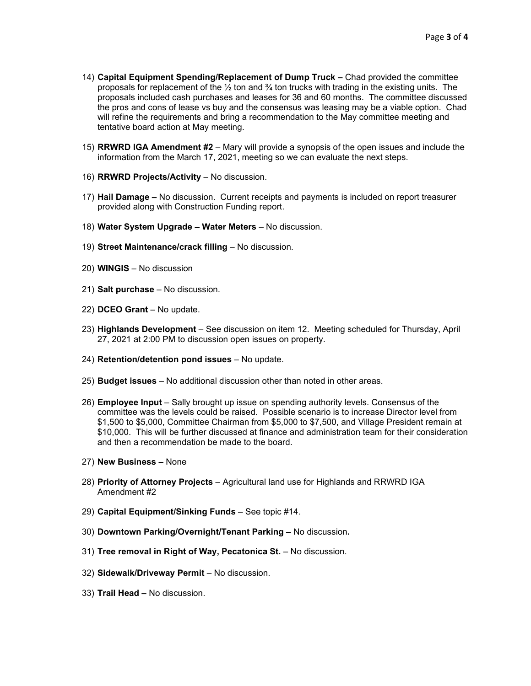- 14) **Capital Equipment Spending/Replacement of Dump Truck –** Chad provided the committee proposals for replacement of the  $\frac{1}{2}$  ton and  $\frac{3}{4}$  ton trucks with trading in the existing units. The proposals included cash purchases and leases for 36 and 60 months. The committee discussed the pros and cons of lease vs buy and the consensus was leasing may be a viable option. Chad will refine the requirements and bring a recommendation to the May committee meeting and tentative board action at May meeting.
- 15) **RRWRD IGA Amendment #2**  Mary will provide a synopsis of the open issues and include the information from the March 17, 2021, meeting so we can evaluate the next steps.
- 16) **RRWRD Projects/Activity** No discussion.
- 17) **Hail Damage –** No discussion. Current receipts and payments is included on report treasurer provided along with Construction Funding report.
- 18) **Water System Upgrade – Water Meters** No discussion.
- 19) **Street Maintenance/crack filling** No discussion.
- 20) **WINGIS** No discussion
- 21) **Salt purchase** No discussion.
- 22) **DCEO Grant** No update.
- 23) **Highlands Development** See discussion on item 12. Meeting scheduled for Thursday, April 27, 2021 at 2:00 PM to discussion open issues on property.
- 24) **Retention/detention pond issues** No update.
- 25) **Budget issues**  No additional discussion other than noted in other areas.
- 26) **Employee Input**  Sally brought up issue on spending authority levels. Consensus of the committee was the levels could be raised. Possible scenario is to increase Director level from \$1,500 to \$5,000, Committee Chairman from \$5,000 to \$7,500, and Village President remain at \$10,000. This will be further discussed at finance and administration team for their consideration and then a recommendation be made to the board.
- 27) **New Business –** None
- 28) **Priority of Attorney Projects** Agricultural land use for Highlands and RRWRD IGA Amendment #2
- 29) **Capital Equipment/Sinking Funds** See topic #14.
- 30) **Downtown Parking/Overnight/Tenant Parking –** No discussion**.**
- 31) Tree removal in Right of Way, Pecatonica St. No discussion.
- 32) **Sidewalk/Driveway Permit** No discussion.
- 33) **Trail Head –** No discussion.